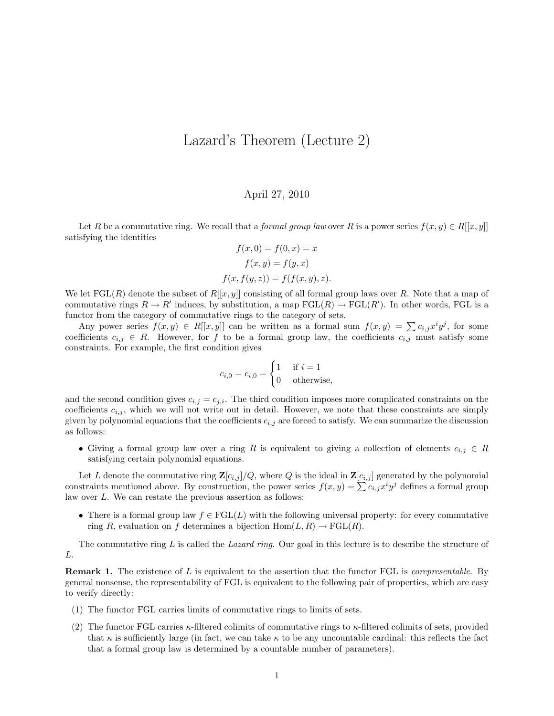## Lazard's Theorem (Lecture 2)

## April 27, 2010

Let R be a commutative ring. We recall that a *formal group law* over R is a power series  $f(x, y) \in R[[x, y]]$ satisfying the identities

$$
f(x, 0) = f(0, x) = x
$$

$$
f(x, y) = f(y, x)
$$

$$
f(x, f(y, z)) = f(f(x, y), z).
$$

We let  $\text{FGL}(R)$  denote the subset of  $R[[x, y]]$  consisting of all formal group laws over R. Note that a map of commutative rings  $R \to R'$  induces, by substitution, a map  $FGL(R) \to FGL(R')$ . In other words, FGL is a functor from the category of commutative rings to the category of sets.

Any power series  $f(x, y) \in R[[x, y]]$  can be written as a formal sum  $f(x, y) = \sum c_{i,j} x^i y^j$ , for some coefficients  $c_{i,j} \in R$ . However, for f to be a formal group law, the coefficients  $c_{i,j}$  must satisfy some constraints. For example, the first condition gives

$$
c_{i,0} = c_{i,0} = \begin{cases} 1 & \text{if } i = 1 \\ 0 & \text{otherwise,} \end{cases}
$$

and the second condition gives  $c_{i,j} = c_{j,i}$ . The third condition imposes more complicated constraints on the coefficients  $c_{i,j}$ , which we will not write out in detail. However, we note that these constraints are simply given by polynomial equations that the coefficients  $c_{i,j}$  are forced to satisfy. We can summarize the discussion as follows:

• Giving a formal group law over a ring R is equivalent to giving a collection of elements  $c_{i,j} \in R$ satisfying certain polynomial equations.

Let L denote the commutative ring  $\mathbf{Z}[c_{i,j}]/Q$ , where Q is the ideal in  $\mathbf{Z}[c_{i,j}]$  generated by the polynomial constraints mentioned above. By construction, the power series  $f(x, y) = \sum c_{i,j} x^i y^j$  defines a formal group law over L. We can restate the previous assertion as follows:

• There is a formal group law  $f \in \text{FGL}(L)$  with the following universal property: for every commutative ring R, evaluation on f determines a bijection  $Hom(L, R) \to FGL(R)$ .

The commutative ring  $L$  is called the *Lazard ring*. Our goal in this lecture is to describe the structure of L.

**Remark 1.** The existence of L is equivalent to the assertion that the functor FGL is *corepresentable*. By general nonsense, the representability of FGL is equivalent to the following pair of properties, which are easy to verify directly:

- (1) The functor FGL carries limits of commutative rings to limits of sets.
- (2) The functor FGL carries  $\kappa$ -filtered colimits of commutative rings to  $\kappa$ -filtered colimits of sets, provided that  $\kappa$  is sufficiently large (in fact, we can take  $\kappa$  to be any uncountable cardinal: this reflects the fact that a formal group law is determined by a countable number of parameters).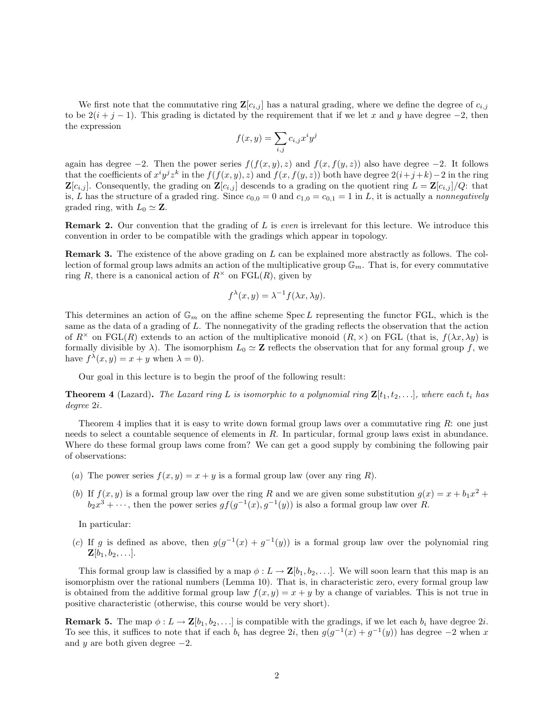We first note that the commutative ring  $\mathbf{Z}[c_{i,j}]$  has a natural grading, where we define the degree of  $c_{i,j}$ to be  $2(i + j - 1)$ . This grading is dictated by the requirement that if we let x and y have degree -2, then the expression

$$
f(x,y) = \sum_{i,j} c_{i,j} x^i y^j
$$

again has degree  $-2$ . Then the power series  $f(f(x, y), z)$  and  $f(x, f(y, z))$  also have degree  $-2$ . It follows that the coefficients of  $x^i y^j z^k$  in the  $f(f(x, y), z)$  and  $f(x, f(y, z))$  both have degree  $2(i+j+k)-2$  in the ring  $\mathbf{Z}[c_{i,j}]$ . Consequently, the grading on  $\mathbf{Z}[c_{i,j}]$  descends to a grading on the quotient ring  $L = \mathbf{Z}[c_{i,j}]/Q$ : that is, L has the structure of a graded ring. Since  $c_{0,0} = 0$  and  $c_{1,0} = c_{0,1} = 1$  in L, it is actually a nonnegatively graded ring, with  $L_0 \simeq \mathbf{Z}$ .

**Remark 2.** Our convention that the grading of L is even is irrelevant for this lecture. We introduce this convention in order to be compatible with the gradings which appear in topology.

Remark 3. The existence of the above grading on L can be explained more abstractly as follows. The collection of formal group laws admits an action of the multiplicative group  $\mathbb{G}_m$ . That is, for every commutative ring R, there is a canonical action of  $R^{\times}$  on  $\mathrm{FGL}(R)$ , given by

$$
f^{\lambda}(x, y) = \lambda^{-1} f(\lambda x, \lambda y).
$$

This determines an action of  $\mathbb{G}_m$  on the affine scheme Spec L representing the functor FGL, which is the same as the data of a grading of L. The nonnegativity of the grading reflects the observation that the action of  $R^{\times}$  on FGL(R) extends to an action of the multiplicative monoid  $(R, \times)$  on FGL (that is,  $f(\lambda x, \lambda y)$  is formally divisible by  $\lambda$ ). The isomorphism  $L_0 \simeq \mathbb{Z}$  reflects the observation that for any formal group f, we have  $f^{\lambda}(x, y) = x + y$  when  $\lambda = 0$ .

Our goal in this lecture is to begin the proof of the following result:

**Theorem 4** (Lazard). The Lazard ring L is isomorphic to a polynomial ring  $\mathbf{Z}[t_1, t_2, \ldots]$ , where each  $t_i$  has degree 2i.

Theorem 4 implies that it is easy to write down formal group laws over a commutative ring  $R$ : one just needs to select a countable sequence of elements in R. In particular, formal group laws exist in abundance. Where do these formal group laws come from? We can get a good supply by combining the following pair of observations:

- (a) The power series  $f(x, y) = x + y$  is a formal group law (over any ring R).
- (b) If  $f(x, y)$  is a formal group law over the ring R and we are given some substitution  $g(x) = x + b_1x^2 + b_2x$  $b_2x^3 + \cdots$ , then the power series  $gf(g^{-1}(x), g^{-1}(y))$  is also a formal group law over R.

In particular:

(c) If g is defined as above, then  $g(g^{-1}(x) + g^{-1}(y))$  is a formal group law over the polynomial ring  $\mathbf{Z}[b_1, b_2, \ldots]$ .

This formal group law is classified by a map  $\phi: L \to \mathbf{Z}[b_1, b_2, \ldots]$ . We will soon learn that this map is an isomorphism over the rational numbers (Lemma 10). That is, in characteristic zero, every formal group law is obtained from the additive formal group law  $f(x, y) = x + y$  by a change of variables. This is not true in positive characteristic (otherwise, this course would be very short).

**Remark 5.** The map  $\phi: L \to \mathbf{Z}[b_1, b_2, \ldots]$  is compatible with the gradings, if we let each  $b_i$  have degree 2*i*. To see this, it suffices to note that if each  $b_i$  has degree  $2i$ , then  $g(g^{-1}(x) + g^{-1}(y))$  has degree  $-2$  when x and y are both given degree  $-2$ .